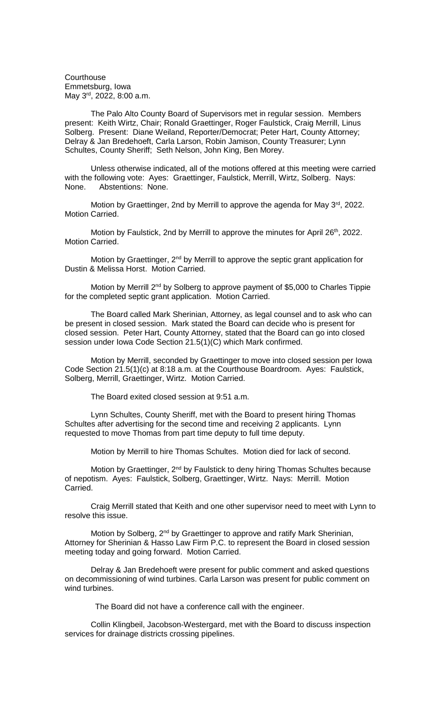**Courthouse** Emmetsburg, Iowa May 3rd, 2022, 8:00 a.m.

The Palo Alto County Board of Supervisors met in regular session. Members present: Keith Wirtz, Chair; Ronald Graettinger, Roger Faulstick, Craig Merrill, Linus Solberg. Present: Diane Weiland, Reporter/Democrat; Peter Hart, County Attorney; Delray & Jan Bredehoeft, Carla Larson, Robin Jamison, County Treasurer; Lynn Schultes, County Sheriff; Seth Nelson, John King, Ben Morey.

Unless otherwise indicated, all of the motions offered at this meeting were carried with the following vote: Ayes: Graettinger, Faulstick, Merrill, Wirtz, Solberg. Nays: None. Abstentions: None.

Motion by Graettinger, 2nd by Merrill to approve the agenda for May 3<sup>rd</sup>, 2022. Motion Carried.

Motion by Faulstick, 2nd by Merrill to approve the minutes for April  $26<sup>th</sup>$ , 2022. Motion Carried.

Motion by Graettinger, 2<sup>nd</sup> by Merrill to approve the septic grant application for Dustin & Melissa Horst. Motion Carried.

Motion by Merrill 2<sup>nd</sup> by Solberg to approve payment of \$5,000 to Charles Tippie for the completed septic grant application. Motion Carried.

The Board called Mark Sherinian, Attorney, as legal counsel and to ask who can be present in closed session. Mark stated the Board can decide who is present for closed session. Peter Hart, County Attorney, stated that the Board can go into closed session under Iowa Code Section 21.5(1)(C) which Mark confirmed.

Motion by Merrill, seconded by Graettinger to move into closed session per Iowa Code Section 21.5(1)(c) at 8:18 a.m. at the Courthouse Boardroom. Ayes: Faulstick, Solberg, Merrill, Graettinger, Wirtz. Motion Carried.

The Board exited closed session at 9:51 a.m.

Lynn Schultes, County Sheriff, met with the Board to present hiring Thomas Schultes after advertising for the second time and receiving 2 applicants. Lynn requested to move Thomas from part time deputy to full time deputy.

Motion by Merrill to hire Thomas Schultes. Motion died for lack of second.

Motion by Graettinger, 2<sup>nd</sup> by Faulstick to deny hiring Thomas Schultes because of nepotism. Ayes: Faulstick, Solberg, Graettinger, Wirtz. Nays: Merrill. Motion Carried.

Craig Merrill stated that Keith and one other supervisor need to meet with Lynn to resolve this issue.

Motion by Solberg, 2<sup>nd</sup> by Graettinger to approve and ratify Mark Sherinian, Attorney for Sherinian & Hasso Law Firm P.C. to represent the Board in closed session meeting today and going forward. Motion Carried.

Delray & Jan Bredehoeft were present for public comment and asked questions on decommissioning of wind turbines. Carla Larson was present for public comment on wind turbines.

The Board did not have a conference call with the engineer.

Collin Klingbeil, Jacobson-Westergard, met with the Board to discuss inspection services for drainage districts crossing pipelines.